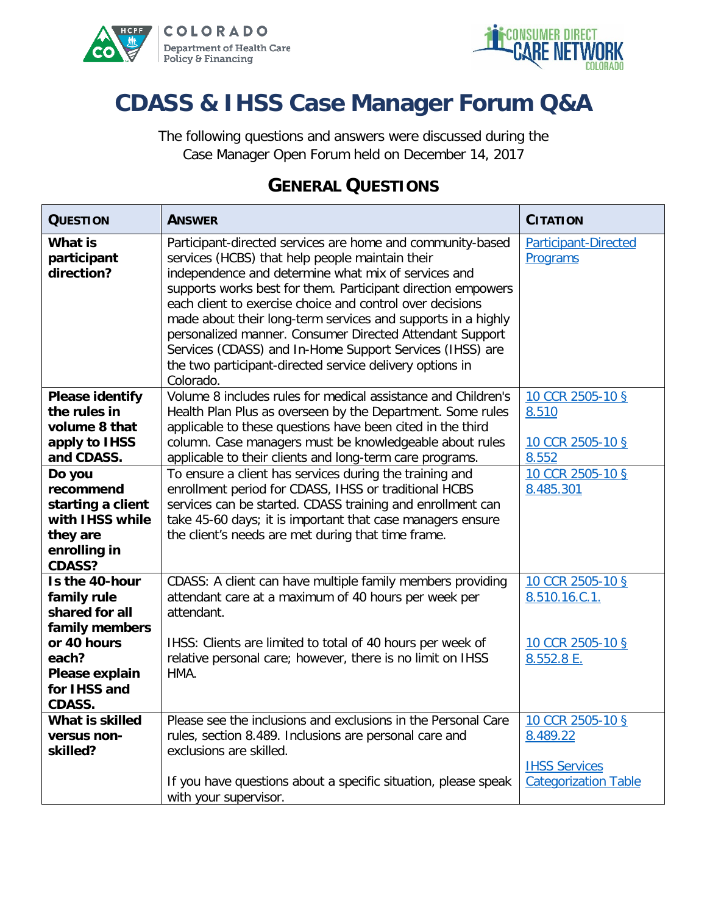



# **CDASS & IHSS Case Manager Forum Q&A**

The following questions and answers were discussed during the Case Manager Open Forum held on December 14, 2017

#### **GENERAL QUESTIONS**

| <b>QUESTION</b>                                                                                          | <b>ANSWER</b>                                                                                                                                                                                                                                                                                                                                                                                                                                                                                                                                                      | <b>CITATION</b>                                                     |
|----------------------------------------------------------------------------------------------------------|--------------------------------------------------------------------------------------------------------------------------------------------------------------------------------------------------------------------------------------------------------------------------------------------------------------------------------------------------------------------------------------------------------------------------------------------------------------------------------------------------------------------------------------------------------------------|---------------------------------------------------------------------|
| <b>What is</b><br>participant<br>direction?                                                              | Participant-directed services are home and community-based<br>services (HCBS) that help people maintain their<br>independence and determine what mix of services and<br>supports works best for them. Participant direction empowers<br>each client to exercise choice and control over decisions<br>made about their long-term services and supports in a highly<br>personalized manner. Consumer Directed Attendant Support<br>Services (CDASS) and In-Home Support Services (IHSS) are<br>the two participant-directed service delivery options in<br>Colorado. | Participant-Directed<br>Programs                                    |
| <b>Please identify</b><br>the rules in<br>volume 8 that<br>apply to IHSS<br>and CDASS.                   | Volume 8 includes rules for medical assistance and Children's<br>Health Plan Plus as overseen by the Department. Some rules<br>applicable to these questions have been cited in the third<br>column. Case managers must be knowledgeable about rules<br>applicable to their clients and long-term care programs.                                                                                                                                                                                                                                                   | 10 CCR 2505-10 §<br>8.510<br>10 CCR 2505-10 §<br>8.552              |
| Do you<br>recommend<br>starting a client<br>with IHSS while<br>they are<br>enrolling in<br><b>CDASS?</b> | To ensure a client has services during the training and<br>enrollment period for CDASS, IHSS or traditional HCBS<br>services can be started. CDASS training and enrollment can<br>take 45-60 days; it is important that case managers ensure<br>the client's needs are met during that time frame.                                                                                                                                                                                                                                                                 | 10 CCR 2505-10 §<br>8.485.301                                       |
| Is the 40-hour<br>family rule<br>shared for all<br>family members<br>or 40 hours<br>each?                | CDASS: A client can have multiple family members providing<br>attendant care at a maximum of 40 hours per week per<br>attendant.<br>IHSS: Clients are limited to total of 40 hours per week of<br>relative personal care; however, there is no limit on IHSS                                                                                                                                                                                                                                                                                                       | 10 CCR 2505-10 §<br>8.510.16.C.1.<br>10 CCR 2505-10 §<br>8.552.8 E. |
| Please explain<br>for IHSS and<br><b>CDASS.</b>                                                          | HMA.                                                                                                                                                                                                                                                                                                                                                                                                                                                                                                                                                               |                                                                     |
| What is skilled<br>versus non-<br>skilled?                                                               | Please see the inclusions and exclusions in the Personal Care<br>rules, section 8.489. Inclusions are personal care and<br>exclusions are skilled.                                                                                                                                                                                                                                                                                                                                                                                                                 | 10 CCR 2505-10 §<br>8.489.22<br><b>IHSS Services</b>                |
|                                                                                                          | If you have questions about a specific situation, please speak<br>with your supervisor.                                                                                                                                                                                                                                                                                                                                                                                                                                                                            | <b>Categorization Table</b>                                         |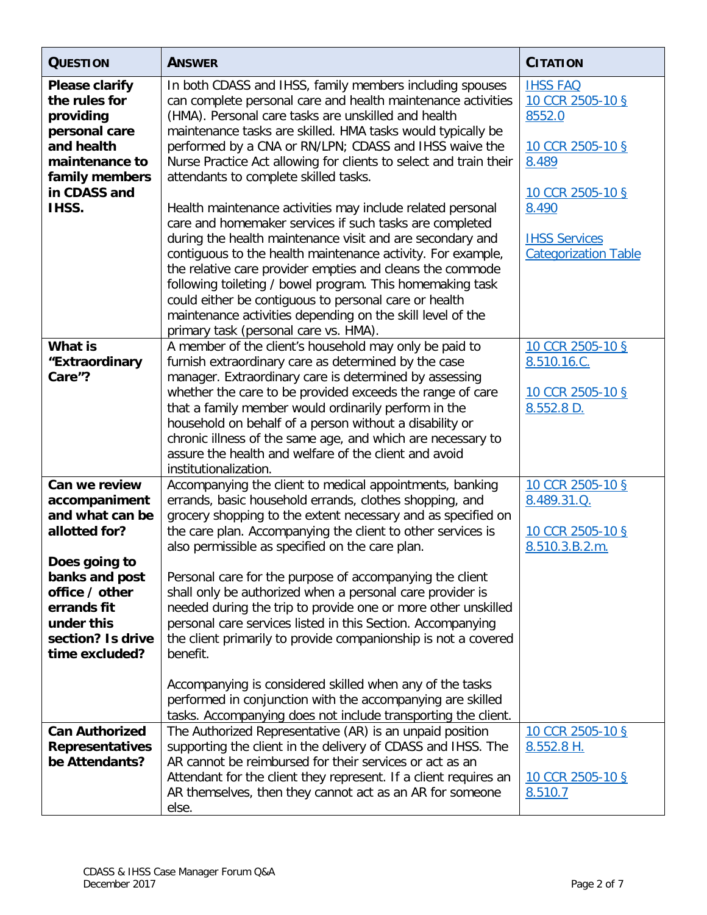| <b>QUESTION</b>                                                                                                                                                                             | <b>ANSWER</b>                                                                                                                                                                                                                                                                                                                                                                                                                                                                                                                                                                                                                                                                                                                                                                                                                                                                                                                                                         | <b>CITATION</b>                                                                                                                                                |
|---------------------------------------------------------------------------------------------------------------------------------------------------------------------------------------------|-----------------------------------------------------------------------------------------------------------------------------------------------------------------------------------------------------------------------------------------------------------------------------------------------------------------------------------------------------------------------------------------------------------------------------------------------------------------------------------------------------------------------------------------------------------------------------------------------------------------------------------------------------------------------------------------------------------------------------------------------------------------------------------------------------------------------------------------------------------------------------------------------------------------------------------------------------------------------|----------------------------------------------------------------------------------------------------------------------------------------------------------------|
| <b>Please clarify</b><br>the rules for<br>providing<br>personal care<br>and health<br>maintenance to<br>family members<br>in CDASS and<br>IHSS.                                             | In both CDASS and IHSS, family members including spouses<br>can complete personal care and health maintenance activities<br>(HMA). Personal care tasks are unskilled and health<br>maintenance tasks are skilled. HMA tasks would typically be<br>performed by a CNA or RN/LPN; CDASS and IHSS waive the<br>Nurse Practice Act allowing for clients to select and train their<br>attendants to complete skilled tasks.<br>Health maintenance activities may include related personal<br>care and homemaker services if such tasks are completed<br>during the health maintenance visit and are secondary and<br>contiguous to the health maintenance activity. For example,<br>the relative care provider empties and cleans the commode<br>following toileting / bowel program. This homemaking task<br>could either be contiguous to personal care or health<br>maintenance activities depending on the skill level of the<br>primary task (personal care vs. HMA). | <b>IHSS FAQ</b><br>10 CCR 2505-10 §<br>8552.0<br>10 CCR 2505-10 §<br>8.489<br>10 CCR 2505-10 §<br>8.490<br><b>IHSS Services</b><br><b>Categorization Table</b> |
| <b>What is</b><br>"Extraordinary<br>Care"?                                                                                                                                                  | A member of the client's household may only be paid to<br>furnish extraordinary care as determined by the case<br>manager. Extraordinary care is determined by assessing<br>whether the care to be provided exceeds the range of care<br>that a family member would ordinarily perform in the<br>household on behalf of a person without a disability or<br>chronic illness of the same age, and which are necessary to<br>assure the health and welfare of the client and avoid<br>institutionalization.                                                                                                                                                                                                                                                                                                                                                                                                                                                             | 10 CCR 2505-10 §<br>8.510.16.C.<br>10 CCR 2505-10 §<br>8.552.8 D.                                                                                              |
| Can we review<br>accompaniment<br>and what can be<br>allotted for?<br>Does going to<br>banks and post<br>office / other<br>errands fit<br>under this<br>section? Is drive<br>time excluded? | Accompanying the client to medical appointments, banking<br>errands, basic household errands, clothes shopping, and<br>grocery shopping to the extent necessary and as specified on<br>the care plan. Accompanying the client to other services is<br>also permissible as specified on the care plan.<br>Personal care for the purpose of accompanying the client<br>shall only be authorized when a personal care provider is<br>needed during the trip to provide one or more other unskilled<br>personal care services listed in this Section. Accompanying<br>the client primarily to provide companionship is not a covered<br>benefit.                                                                                                                                                                                                                                                                                                                          | 10 CCR 2505-10 §<br>8.489.31.Q.<br>10 CCR 2505-10 §<br>8.510.3.B.2.m.                                                                                          |
| <b>Can Authorized</b><br><b>Representatives</b><br>be Attendants?                                                                                                                           | Accompanying is considered skilled when any of the tasks<br>performed in conjunction with the accompanying are skilled<br>tasks. Accompanying does not include transporting the client.<br>The Authorized Representative (AR) is an unpaid position<br>supporting the client in the delivery of CDASS and IHSS. The<br>AR cannot be reimbursed for their services or act as an<br>Attendant for the client they represent. If a client requires an                                                                                                                                                                                                                                                                                                                                                                                                                                                                                                                    | 10 CCR 2505-10 §<br>8.552.8 H.<br>10 CCR 2505-10 §                                                                                                             |
|                                                                                                                                                                                             | AR themselves, then they cannot act as an AR for someone<br>else.                                                                                                                                                                                                                                                                                                                                                                                                                                                                                                                                                                                                                                                                                                                                                                                                                                                                                                     | 8.510.7                                                                                                                                                        |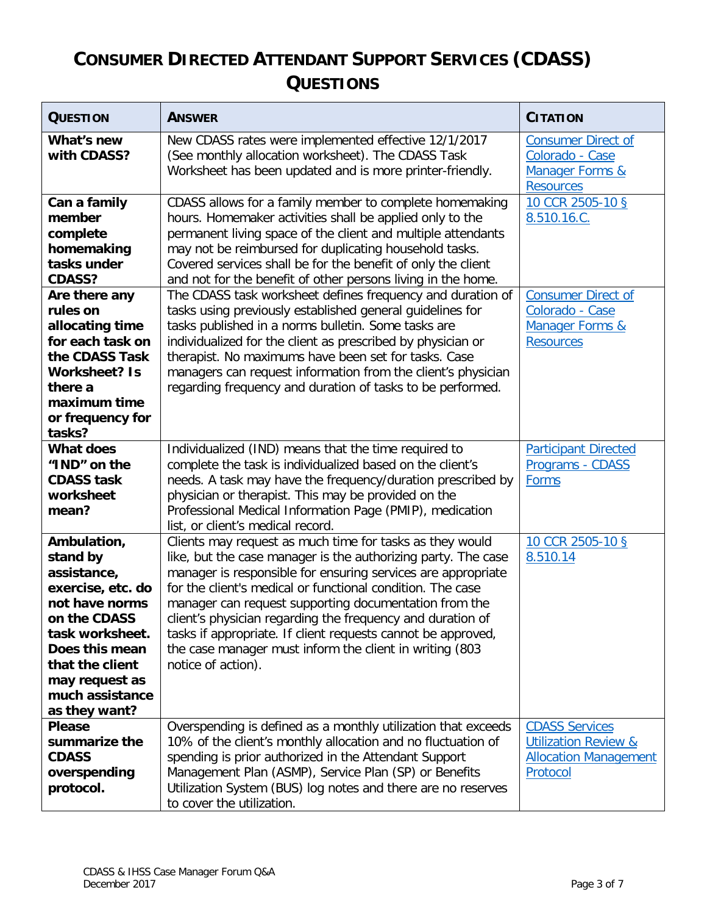### **CONSUMER DIRECTED ATTENDANT SUPPORT SERVICES (CDASS) QUESTIONS**

| <b>QUESTION</b>                                                                                                                                                                                             | <b>ANSWER</b>                                                                                                                                                                                                                                                                                                                                                                                                                                                                                                                   | <b>CITATION</b>                                                                                      |
|-------------------------------------------------------------------------------------------------------------------------------------------------------------------------------------------------------------|---------------------------------------------------------------------------------------------------------------------------------------------------------------------------------------------------------------------------------------------------------------------------------------------------------------------------------------------------------------------------------------------------------------------------------------------------------------------------------------------------------------------------------|------------------------------------------------------------------------------------------------------|
| What's new<br>with CDASS?                                                                                                                                                                                   | New CDASS rates were implemented effective 12/1/2017<br>(See monthly allocation worksheet). The CDASS Task<br>Worksheet has been updated and is more printer-friendly.                                                                                                                                                                                                                                                                                                                                                          | <b>Consumer Direct of</b><br>Colorado - Case<br><b>Manager Forms &amp;</b><br><b>Resources</b>       |
| Can a family<br>member<br>complete<br>homemaking<br>tasks under<br><b>CDASS?</b>                                                                                                                            | CDASS allows for a family member to complete homemaking<br>hours. Homemaker activities shall be applied only to the<br>permanent living space of the client and multiple attendants<br>may not be reimbursed for duplicating household tasks.<br>Covered services shall be for the benefit of only the client<br>and not for the benefit of other persons living in the home.                                                                                                                                                   | 10 CCR 2505-10 §<br>8.510.16.C.                                                                      |
| Are there any<br>rules on<br>allocating time<br>for each task on<br>the CDASS Task<br><b>Worksheet? Is</b><br>there a<br>maximum time<br>or frequency for<br>tasks?                                         | The CDASS task worksheet defines frequency and duration of<br>tasks using previously established general guidelines for<br>tasks published in a norms bulletin. Some tasks are<br>individualized for the client as prescribed by physician or<br>therapist. No maximums have been set for tasks. Case<br>managers can request information from the client's physician<br>regarding frequency and duration of tasks to be performed.                                                                                             | <b>Consumer Direct of</b><br>Colorado - Case<br>Manager Forms &<br><b>Resources</b>                  |
| What does<br>"IND" on the<br><b>CDASS task</b><br>worksheet<br>mean?                                                                                                                                        | Individualized (IND) means that the time required to<br>complete the task is individualized based on the client's<br>needs. A task may have the frequency/duration prescribed by<br>physician or therapist. This may be provided on the<br>Professional Medical Information Page (PMIP), medication<br>list, or client's medical record.                                                                                                                                                                                        | <b>Participant Directed</b><br>Programs - CDASS<br>Forms                                             |
| Ambulation,<br>stand by<br>assistance,<br>exercise, etc. do<br>not have norms<br>on the CDASS<br>task worksheet.<br>Does this mean<br>that the client<br>may request as<br>much assistance<br>as they want? | Clients may request as much time for tasks as they would<br>like, but the case manager is the authorizing party. The case<br>manager is responsible for ensuring services are appropriate<br>for the client's medical or functional condition. The case<br>manager can request supporting documentation from the<br>client's physician regarding the frequency and duration of<br>tasks if appropriate. If client requests cannot be approved,<br>the case manager must inform the client in writing (803<br>notice of action). | 10 CCR 2505-10 §<br>8.510.14                                                                         |
| <b>Please</b><br>summarize the<br><b>CDASS</b><br>overspending<br>protocol.                                                                                                                                 | Overspending is defined as a monthly utilization that exceeds<br>10% of the client's monthly allocation and no fluctuation of<br>spending is prior authorized in the Attendant Support<br>Management Plan (ASMP), Service Plan (SP) or Benefits<br>Utilization System (BUS) log notes and there are no reserves<br>to cover the utilization.                                                                                                                                                                                    | <b>CDASS Services</b><br><b>Utilization Review &amp;</b><br><b>Allocation Management</b><br>Protocol |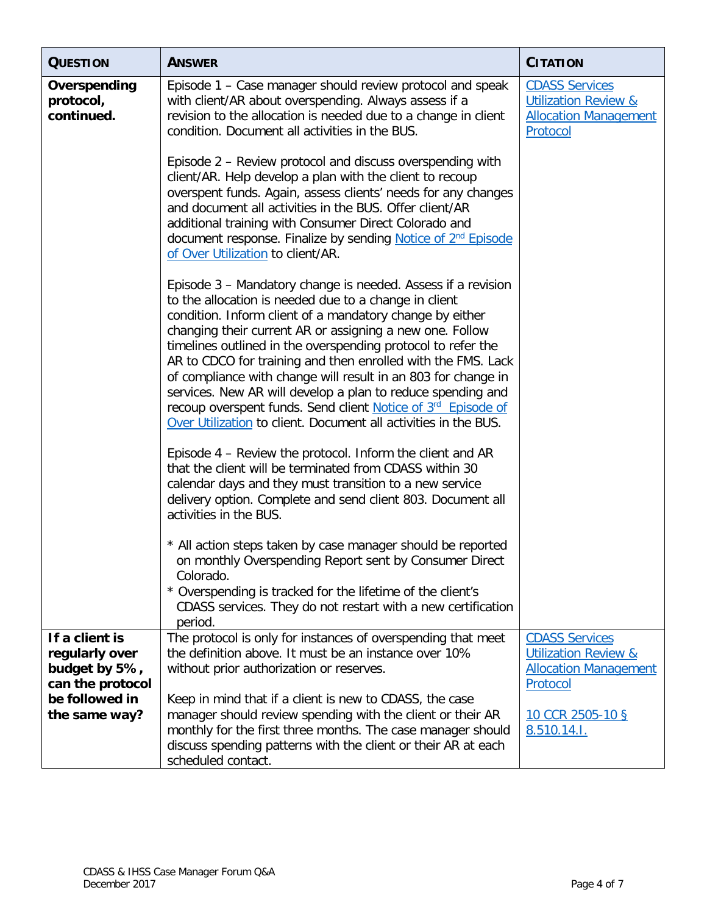| <b>QUESTION</b>                         | <b>ANSWER</b>                                                                                                                                                                                                                                                                                                                                                                                                                                                                                                                                                                                                                                    | <b>CITATION</b>                                                                                      |
|-----------------------------------------|--------------------------------------------------------------------------------------------------------------------------------------------------------------------------------------------------------------------------------------------------------------------------------------------------------------------------------------------------------------------------------------------------------------------------------------------------------------------------------------------------------------------------------------------------------------------------------------------------------------------------------------------------|------------------------------------------------------------------------------------------------------|
| Overspending<br>protocol,<br>continued. | Episode 1 – Case manager should review protocol and speak<br>with client/AR about overspending. Always assess if a<br>revision to the allocation is needed due to a change in client<br>condition. Document all activities in the BUS.                                                                                                                                                                                                                                                                                                                                                                                                           | <b>CDASS Services</b><br><b>Utilization Review &amp;</b><br><b>Allocation Management</b><br>Protocol |
|                                         | Episode 2 – Review protocol and discuss overspending with<br>client/AR. Help develop a plan with the client to recoup<br>overspent funds. Again, assess clients' needs for any changes<br>and document all activities in the BUS. Offer client/AR<br>additional training with Consumer Direct Colorado and<br>document response. Finalize by sending Notice of 2 <sup>nd</sup> Episode<br>of Over Utilization to client/AR.                                                                                                                                                                                                                      |                                                                                                      |
|                                         | Episode 3 - Mandatory change is needed. Assess if a revision<br>to the allocation is needed due to a change in client<br>condition. Inform client of a mandatory change by either<br>changing their current AR or assigning a new one. Follow<br>timelines outlined in the overspending protocol to refer the<br>AR to CDCO for training and then enrolled with the FMS. Lack<br>of compliance with change will result in an 803 for change in<br>services. New AR will develop a plan to reduce spending and<br>recoup overspent funds. Send client Notice of 3rd Episode of<br>Over Utilization to client. Document all activities in the BUS. |                                                                                                      |
|                                         | Episode 4 - Review the protocol. Inform the client and AR<br>that the client will be terminated from CDASS within 30<br>calendar days and they must transition to a new service<br>delivery option. Complete and send client 803. Document all<br>activities in the BUS.                                                                                                                                                                                                                                                                                                                                                                         |                                                                                                      |
|                                         | * All action steps taken by case manager should be reported<br>on monthly Overspending Report sent by Consumer Direct<br>Colorado.<br>* Overspending is tracked for the lifetime of the client's<br>CDASS services. They do not restart with a new certification<br>period.                                                                                                                                                                                                                                                                                                                                                                      |                                                                                                      |
| If a client is                          | The protocol is only for instances of overspending that meet<br>the definition above. It must be an instance over 10%                                                                                                                                                                                                                                                                                                                                                                                                                                                                                                                            | <b>CDASS Services</b>                                                                                |
| regularly over<br>budget by 5%,         | without prior authorization or reserves.                                                                                                                                                                                                                                                                                                                                                                                                                                                                                                                                                                                                         | <b>Utilization Review &amp;</b><br><b>Allocation Management</b>                                      |
| can the protocol                        |                                                                                                                                                                                                                                                                                                                                                                                                                                                                                                                                                                                                                                                  | Protocol                                                                                             |
| be followed in<br>the same way?         | Keep in mind that if a client is new to CDASS, the case<br>manager should review spending with the client or their AR                                                                                                                                                                                                                                                                                                                                                                                                                                                                                                                            | 10 CCR 2505-10 §                                                                                     |
|                                         | monthly for the first three months. The case manager should                                                                                                                                                                                                                                                                                                                                                                                                                                                                                                                                                                                      | 8.510.14.1.                                                                                          |
|                                         | discuss spending patterns with the client or their AR at each<br>scheduled contact.                                                                                                                                                                                                                                                                                                                                                                                                                                                                                                                                                              |                                                                                                      |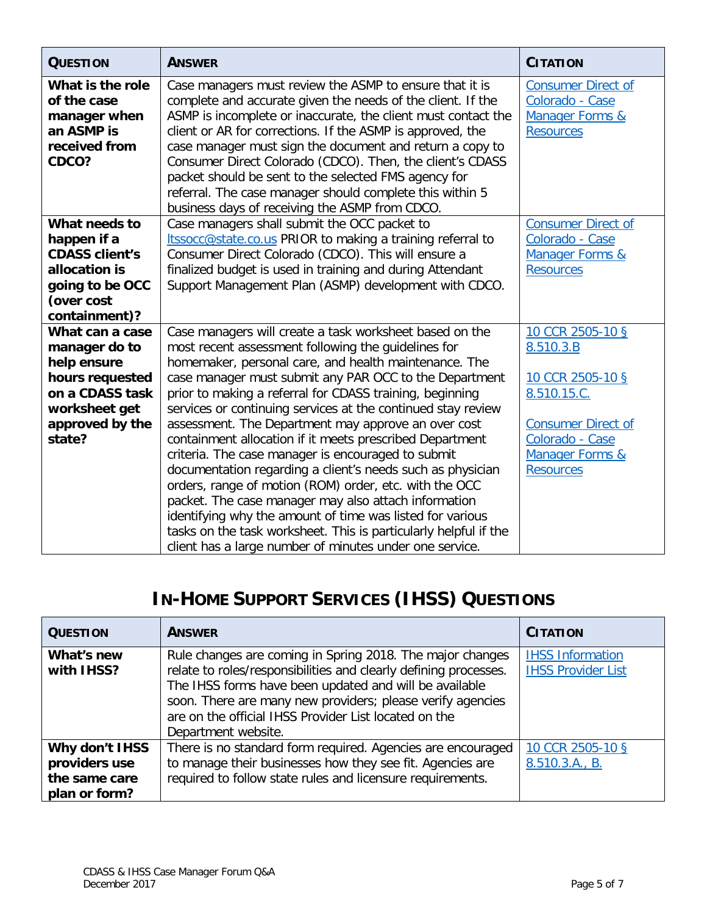| <b>QUESTION</b>                                                                                                          | <b>ANSWER</b>                                                                                                                                                                                                                                                                                                                                                                                                                                                                                                                                        | <b>CITATION</b>                                                                                |
|--------------------------------------------------------------------------------------------------------------------------|------------------------------------------------------------------------------------------------------------------------------------------------------------------------------------------------------------------------------------------------------------------------------------------------------------------------------------------------------------------------------------------------------------------------------------------------------------------------------------------------------------------------------------------------------|------------------------------------------------------------------------------------------------|
| What is the role<br>of the case<br>manager when<br>an ASMP is<br>received from<br>CDCO?                                  | Case managers must review the ASMP to ensure that it is<br>complete and accurate given the needs of the client. If the<br>ASMP is incomplete or inaccurate, the client must contact the<br>client or AR for corrections. If the ASMP is approved, the<br>case manager must sign the document and return a copy to<br>Consumer Direct Colorado (CDCO). Then, the client's CDASS<br>packet should be sent to the selected FMS agency for<br>referral. The case manager should complete this within 5<br>business days of receiving the ASMP from CDCO. | <b>Consumer Direct of</b><br>Colorado - Case<br><b>Manager Forms &amp;</b><br><b>Resources</b> |
| What needs to<br>happen if a<br><b>CDASS client's</b><br>allocation is<br>going to be OCC<br>(over cost<br>containment)? | Case managers shall submit the OCC packet to<br>Itssocc@state.co.us PRIOR to making a training referral to<br>Consumer Direct Colorado (CDCO). This will ensure a<br>finalized budget is used in training and during Attendant<br>Support Management Plan (ASMP) development with CDCO.                                                                                                                                                                                                                                                              | <b>Consumer Direct of</b><br>Colorado - Case<br><b>Manager Forms &amp;</b><br><b>Resources</b> |
| What can a case<br>manager do to<br>help ensure<br>hours requested<br>on a CDASS task<br>worksheet get                   | Case managers will create a task worksheet based on the<br>most recent assessment following the guidelines for<br>homemaker, personal care, and health maintenance. The<br>case manager must submit any PAR OCC to the Department<br>prior to making a referral for CDASS training, beginning<br>services or continuing services at the continued stay review                                                                                                                                                                                        | 10 CCR 2505-10 §<br>8.510.3.B<br>10 CCR 2505-10 §<br>8.510.15.C.                               |
| approved by the<br>state?                                                                                                | assessment. The Department may approve an over cost<br>containment allocation if it meets prescribed Department<br>criteria. The case manager is encouraged to submit<br>documentation regarding a client's needs such as physician<br>orders, range of motion (ROM) order, etc. with the OCC<br>packet. The case manager may also attach information<br>identifying why the amount of time was listed for various<br>tasks on the task worksheet. This is particularly helpful if the<br>client has a large number of minutes under one service.    | <b>Consumer Direct of</b><br>Colorado - Case<br><b>Manager Forms &amp;</b><br><b>Resources</b> |

## **IN-HOME SUPPORT SERVICES (IHSS) QUESTIONS**

| <b>QUESTION</b>                                                   | <b>ANSWER</b>                                                                                                                                                                                                                                                                                                                         | <b>CITATION</b>                                      |
|-------------------------------------------------------------------|---------------------------------------------------------------------------------------------------------------------------------------------------------------------------------------------------------------------------------------------------------------------------------------------------------------------------------------|------------------------------------------------------|
| What's new<br>with IHSS?                                          | Rule changes are coming in Spring 2018. The major changes<br>relate to roles/responsibilities and clearly defining processes.<br>The IHSS forms have been updated and will be available<br>soon. There are many new providers; please verify agencies<br>are on the official IHSS Provider List located on the<br>Department website. | <b>IHSS Information</b><br><b>IHSS Provider List</b> |
| Why don't IHSS<br>providers use<br>the same care<br>plan or form? | There is no standard form required. Agencies are encouraged<br>to manage their businesses how they see fit. Agencies are<br>required to follow state rules and licensure requirements.                                                                                                                                                | 10 CCR 2505-10 §<br>8.510.3.A., B.                   |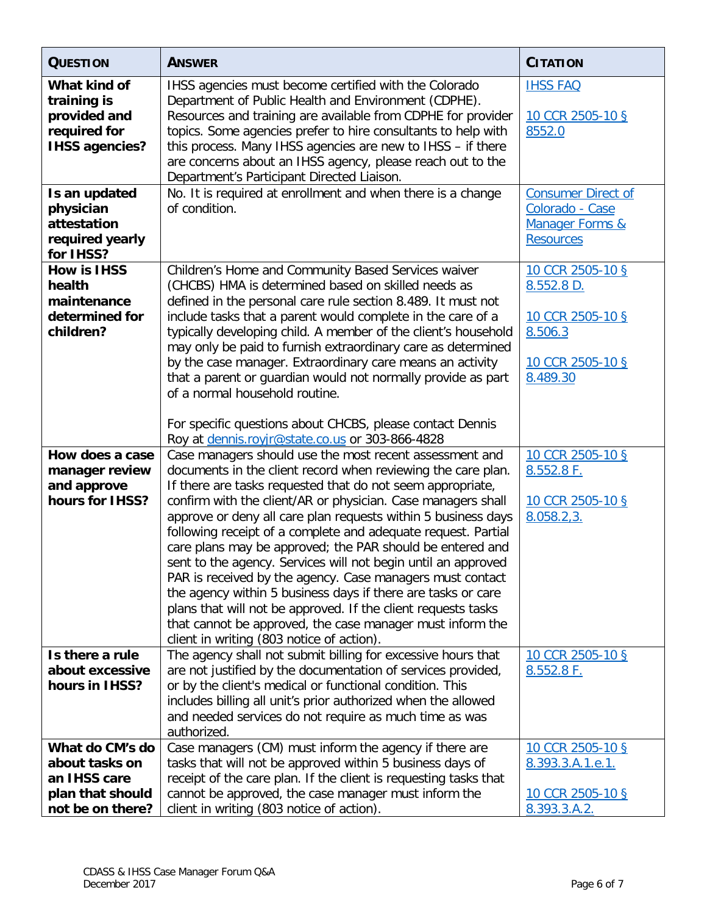| <b>QUESTION</b>                                                                           | <b>ANSWER</b>                                                                                                                                                                                                                                                                                                                                                                                                                                                                                                                                                                                                                        | <b>CITATION</b>                                                                                |
|-------------------------------------------------------------------------------------------|--------------------------------------------------------------------------------------------------------------------------------------------------------------------------------------------------------------------------------------------------------------------------------------------------------------------------------------------------------------------------------------------------------------------------------------------------------------------------------------------------------------------------------------------------------------------------------------------------------------------------------------|------------------------------------------------------------------------------------------------|
| What kind of<br>training is<br>provided and<br>required for<br><b>IHSS agencies?</b>      | IHSS agencies must become certified with the Colorado<br>Department of Public Health and Environment (CDPHE).<br>Resources and training are available from CDPHE for provider<br>topics. Some agencies prefer to hire consultants to help with<br>this process. Many IHSS agencies are new to IHSS - if there<br>are concerns about an IHSS agency, please reach out to the<br>Department's Participant Directed Liaison.                                                                                                                                                                                                            | <b>IHSS FAQ</b><br>10 CCR 2505-10 §<br>8552.0                                                  |
| Is an updated<br>physician<br>attestation<br>required yearly<br>for IHSS?                 | No. It is required at enrollment and when there is a change<br>of condition.                                                                                                                                                                                                                                                                                                                                                                                                                                                                                                                                                         | <b>Consumer Direct of</b><br>Colorado - Case<br><b>Manager Forms &amp;</b><br><b>Resources</b> |
| <b>How is IHSS</b><br>health<br>maintenance<br>determined for<br>children?                | Children's Home and Community Based Services waiver<br>(CHCBS) HMA is determined based on skilled needs as<br>defined in the personal care rule section 8.489. It must not<br>include tasks that a parent would complete in the care of a<br>typically developing child. A member of the client's household<br>may only be paid to furnish extraordinary care as determined<br>by the case manager. Extraordinary care means an activity<br>that a parent or guardian would not normally provide as part<br>of a normal household routine.                                                                                           | 10 CCR 2505-10 §<br>8.552.8 D.<br>10 CCR 2505-10 §<br>8.506.3<br>10 CCR 2505-10 §<br>8.489.30  |
| How does a case<br>manager review<br>and approve                                          | For specific questions about CHCBS, please contact Dennis<br>Roy at dennis.royjr@state.co.us or 303-866-4828<br>Case managers should use the most recent assessment and<br>documents in the client record when reviewing the care plan.<br>If there are tasks requested that do not seem appropriate,                                                                                                                                                                                                                                                                                                                                | 10 CCR 2505-10 §<br>8.552.8 F.                                                                 |
| hours for IHSS?                                                                           | confirm with the client/AR or physician. Case managers shall<br>approve or deny all care plan requests within 5 business days<br>following receipt of a complete and adequate request. Partial<br>care plans may be approved; the PAR should be entered and<br>sent to the agency. Services will not begin until an approved<br>PAR is received by the agency. Case managers must contact<br>the agency within 5 business days if there are tasks or care<br>plans that will not be approved. If the client requests tasks<br>that cannot be approved, the case manager must inform the<br>client in writing (803 notice of action). | 10 CCR 2505-10 §<br>8.058.2, 3.                                                                |
| Is there a rule<br>about excessive<br>hours in IHSS?                                      | The agency shall not submit billing for excessive hours that<br>are not justified by the documentation of services provided,<br>or by the client's medical or functional condition. This<br>includes billing all unit's prior authorized when the allowed<br>and needed services do not require as much time as was<br>authorized.                                                                                                                                                                                                                                                                                                   | 10 CCR 2505-10 §<br>8.552.8 F.                                                                 |
| What do CM's do<br>about tasks on<br>an IHSS care<br>plan that should<br>not be on there? | Case managers (CM) must inform the agency if there are<br>tasks that will not be approved within 5 business days of<br>receipt of the care plan. If the client is requesting tasks that<br>cannot be approved, the case manager must inform the<br>client in writing (803 notice of action).                                                                                                                                                                                                                                                                                                                                         | 10 CCR 2505-10 §<br>8.393.3.A.1.e.1.<br>10 CCR 2505-10 §<br>8.393.3.A.2.                       |